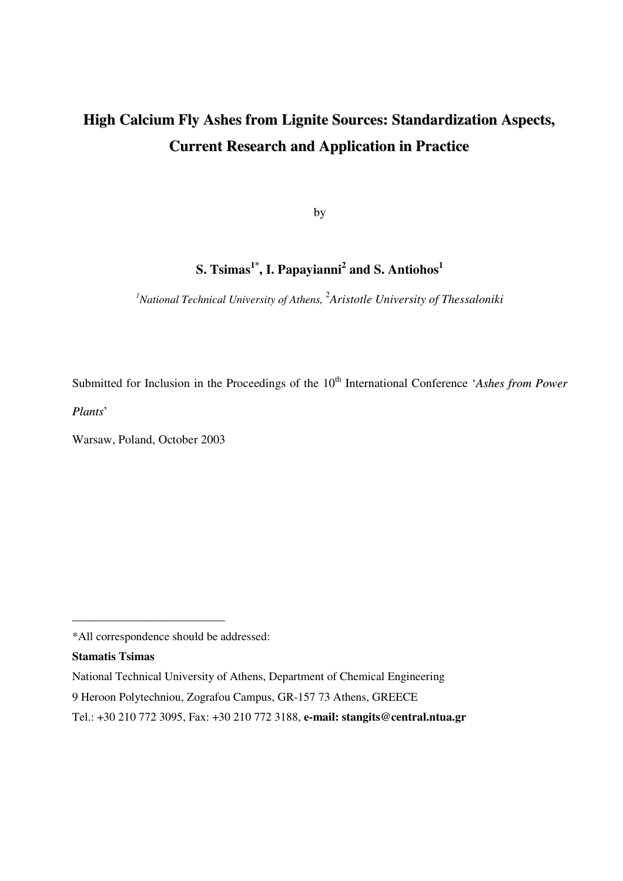# **High Calcium Fly Ashes from Lignite Sources: Standardization Aspects, Current Research and Application in Practice**

by

## ${\bf S.}$   ${\bf Tsimas}^{1^*}$ ,  ${\bf I.}$   ${\bf Papayianni}^2$  and  ${\bf S.}$   ${\bf Antiohos}^1$

*<sup>1</sup>National Technical University of Athens,* 2 *Aristotle University of Thessaloniki*

Submitted for Inclusion in the Proceedings of the 10<sup>th</sup> International Conference '*Ashes from Power* 

*Plants*'

Warsaw, Poland, October 2003

**\_\_\_\_\_\_\_\_\_\_\_\_\_\_\_\_\_\_\_\_\_\_\_\_\_**

#### **Stamatis Tsimas**

<sup>\*</sup>All correspondence should be addressed:

National Technical University of Athens, Department of Chemical Engineering 9 Heroon Polytechniou, Zografou Campus, GR-157 73 Athens, GREECE Tel.: +30 210 772 3095, Fax: +30 210 772 3188, **e-mail: stangits@central.ntua.gr**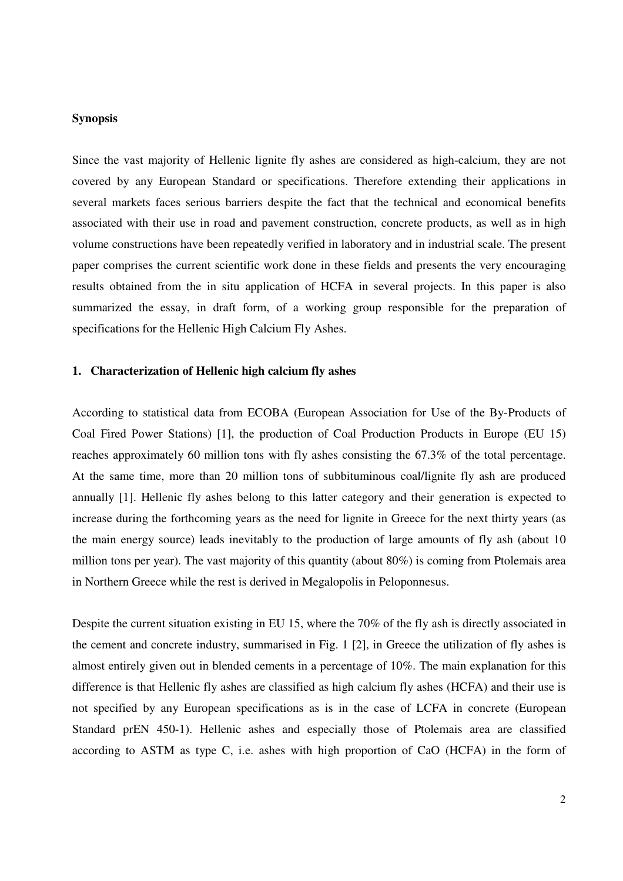## **Synopsis**

Since the vast majority of Hellenic lignite fly ashes are considered as high-calcium, they are not covered by any European Standard or specifications. Therefore extending their applications in several markets faces serious barriers despite the fact that the technical and economical benefits associated with their use in road and pavement construction, concrete products, as well as in high volume constructions have been repeatedly verified in laboratory and in industrial scale. The present paper comprises the current scientific work done in these fields and presents the very encouraging results obtained from the in situ application of HCFA in several projects. In this paper is also summarized the essay, in draft form, of a working group responsible for the preparation of specifications for the Hellenic High Calcium Fly Ashes.

## **1. Characterization of Hellenic high calcium fly ashes**

According to statistical data from ECOBA (European Association for Use of the By-Products of Coal Fired Power Stations) [1], the production of Coal Production Products in Europe (EU 15) reaches approximately 60 million tons with fly ashes consisting the 67.3% of the total percentage. At the same time, more than 20 million tons of subbituminous coal/lignite fly ash are produced annually [1]. Hellenic fly ashes belong to this latter category and their generation is expected to increase during the forthcoming years as the need for lignite in Greece for the next thirty years (as the main energy source) leads inevitably to the production of large amounts of fly ash (about 10 million tons per year). The vast majority of this quantity (about 80%) is coming from Ptolemais area in Northern Greece while the rest is derived in Megalopolis in Peloponnesus.

Despite the current situation existing in EU 15, where the 70% of the fly ash is directly associated in the cement and concrete industry, summarised in Fig. 1 [2], in Greece the utilization of fly ashes is almost entirely given out in blended cements in a percentage of 10%. The main explanation for this difference is that Hellenic fly ashes are classified as high calcium fly ashes (HCFA) and their use is not specified by any European specifications as is in the case of LCFA in concrete (European Standard prEN 450-1). Hellenic ashes and especially those of Ptolemais area are classified according to ASTM as type C, i.e. ashes with high proportion of CaO (HCFA) in the form of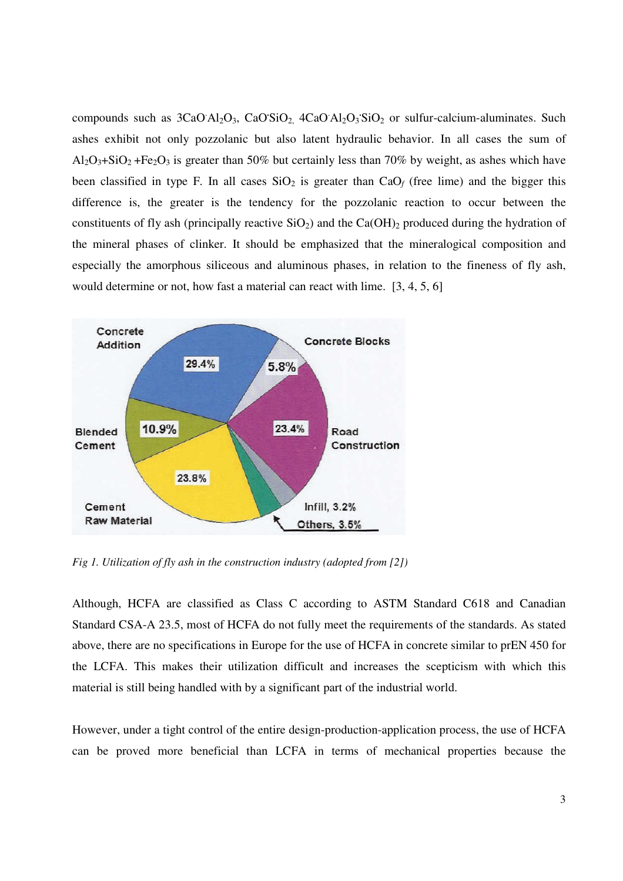compounds such as 3CaO Al<sub>2</sub>O<sub>3</sub>, CaO'SiO<sub>2</sub>, 4CaO Al<sub>2</sub>O<sub>3</sub>'SiO<sub>2</sub> or sulfur-calcium-aluminates. Such ashes exhibit not only pozzolanic but also latent hydraulic behavior. In all cases the sum of  $Al_2O_3 + SiO_2 + Fe_2O_3$  is greater than 50% but certainly less than 70% by weight, as ashes which have been classified in type F. In all cases  $SiO<sub>2</sub>$  is greater than  $CaO<sub>f</sub>$  (free lime) and the bigger this difference is, the greater is the tendency for the pozzolanic reaction to occur between the constituents of fly ash (principally reactive  $SiO<sub>2</sub>$ ) and the Ca(OH)<sub>2</sub> produced during the hydration of the mineral phases of clinker. It should be emphasized that the mineralogical composition and especially the amorphous siliceous and aluminous phases, in relation to the fineness of fly ash, would determine or not, how fast a material can react with lime. [3, 4, 5, 6]



*Fig 1. Utilization of fly ash in the construction industry (adopted from [2])*

Although, HCFA are classified as Class C according to ASTM Standard C618 and Canadian Standard CSA-A 23.5, most of HCFA do not fully meet the requirements of the standards. As stated above, there are no specifications in Europe for the use of HCFA in concrete similar to prEN 450 for the LCFA. This makes their utilization difficult and increases the scepticism with which this material is still being handled with by a significant part of the industrial world.

However, under a tight control of the entire design-production-application process, the use of HCFA can be proved more beneficial than LCFA in terms of mechanical properties because the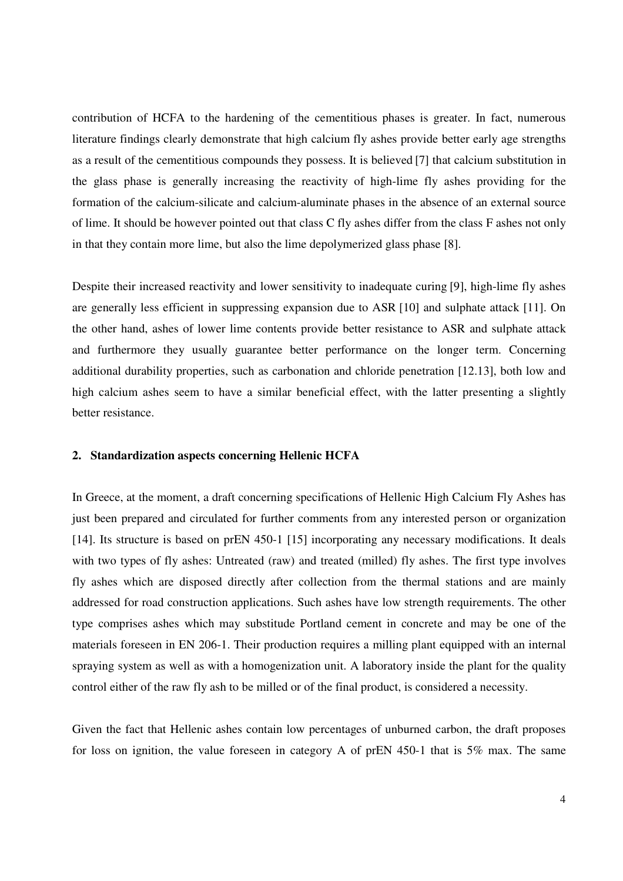contribution of HCFA to the hardening of the cementitious phases is greater. In fact, numerous literature findings clearly demonstrate that high calcium fly ashes provide better early age strengths as a result of the cementitious compounds they possess. It is believed [7] that calcium substitution in the glass phase is generally increasing the reactivity of high-lime fly ashes providing for the formation of the calcium-silicate and calcium-aluminate phases in the absence of an external source of lime. It should be however pointed out that class C fly ashes differ from the class F ashes not only in that they contain more lime, but also the lime depolymerized glass phase [8].

Despite their increased reactivity and lower sensitivity to inadequate curing [9], high-lime fly ashes are generally less efficient in suppressing expansion due to ASR [10] and sulphate attack [11]. On the other hand, ashes of lower lime contents provide better resistance to ASR and sulphate attack and furthermore they usually guarantee better performance on the longer term. Concerning additional durability properties, such as carbonation and chloride penetration [12.13], both low and high calcium ashes seem to have a similar beneficial effect, with the latter presenting a slightly better resistance.

## **2. Standardization aspects concerning Hellenic HCFA**

In Greece, at the moment, a draft concerning specifications of Hellenic High Calcium Fly Ashes has just been prepared and circulated for further comments from any interested person or organization [14]. Its structure is based on prEN 450-1 [15] incorporating any necessary modifications. It deals with two types of fly ashes: Untreated (raw) and treated (milled) fly ashes. The first type involves fly ashes which are disposed directly after collection from the thermal stations and are mainly addressed for road construction applications. Such ashes have low strength requirements. The other type comprises ashes which may substitude Portland cement in concrete and may be one of the materials foreseen in EN 206-1. Their production requires a milling plant equipped with an internal spraying system as well as with a homogenization unit. A laboratory inside the plant for the quality control either of the raw fly ash to be milled or of the final product, is considered a necessity.

Given the fact that Hellenic ashes contain low percentages of unburned carbon, the draft proposes for loss on ignition, the value foreseen in category A of prEN 450-1 that is 5% max. The same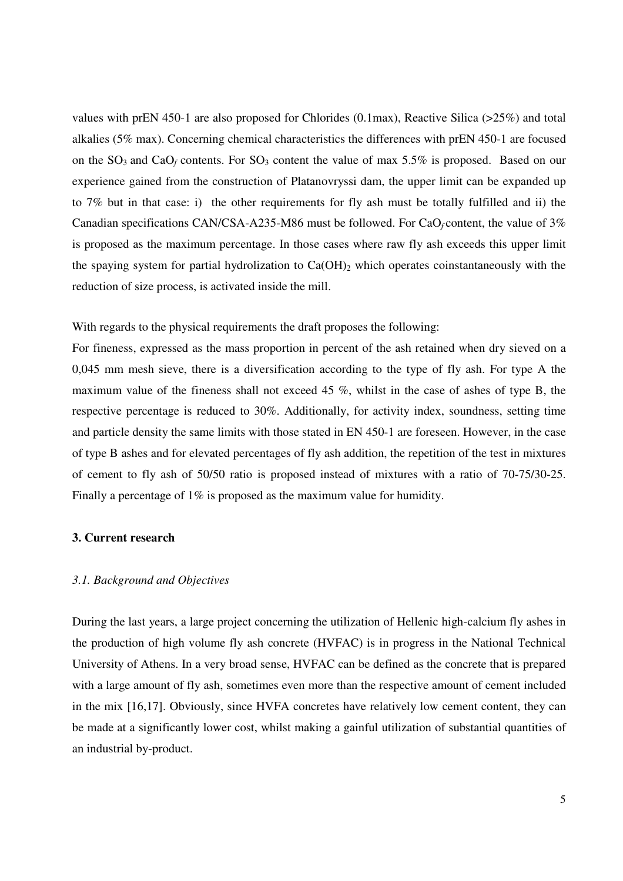values with prEN 450-1 are also proposed for Chlorides (0.1max), Reactive Silica (>25%) and total alkalies (5% max). Concerning chemical characteristics the differences with prEN 450-1 are focused on the  $SO_3$  and  $CaO_f$  contents. For  $SO_3$  content the value of max 5.5% is proposed. Based on our experience gained from the construction of Platanovryssi dam, the upper limit can be expanded up to 7% but in that case: i) the other requirements for fly ash must be totally fulfilled and ii) the Canadian specifications CAN/CSA-A235-M86 must be followed. For CaO*<sup>f</sup>* content, the value of 3% is proposed as the maximum percentage. In those cases where raw fly ash exceeds this upper limit the spaying system for partial hydrolization to  $Ca(OH)_2$  which operates coinstantaneously with the reduction of size process, is activated inside the mill.

With regards to the physical requirements the draft proposes the following:

For fineness, expressed as the mass proportion in percent of the ash retained when dry sieved on a 0,045 mm mesh sieve, there is a diversification according to the type of fly ash. For type A the maximum value of the fineness shall not exceed 45 %, whilst in the case of ashes of type B, the respective percentage is reduced to 30%. Additionally, for activity index, soundness, setting time and particle density the same limits with those stated in EN 450-1 are foreseen. However, in the case of type B ashes and for elevated percentages of fly ash addition, the repetition of the test in mixtures of cement to fly ash of 50/50 ratio is proposed instead of mixtures with a ratio of 70-75/30-25. Finally a percentage of 1% is proposed as the maximum value for humidity.

## **3. Current research**

#### *3.1. Background and Objectives*

During the last years, a large project concerning the utilization of Hellenic high-calcium fly ashes in the production of high volume fly ash concrete (HVFAC) is in progress in the National Technical University of Athens. In a very broad sense, HVFAC can be defined as the concrete that is prepared with a large amount of fly ash, sometimes even more than the respective amount of cement included in the mix [16,17]. Obviously, since HVFA concretes have relatively low cement content, they can be made at a significantly lower cost, whilst making a gainful utilization of substantial quantities of an industrial by-product.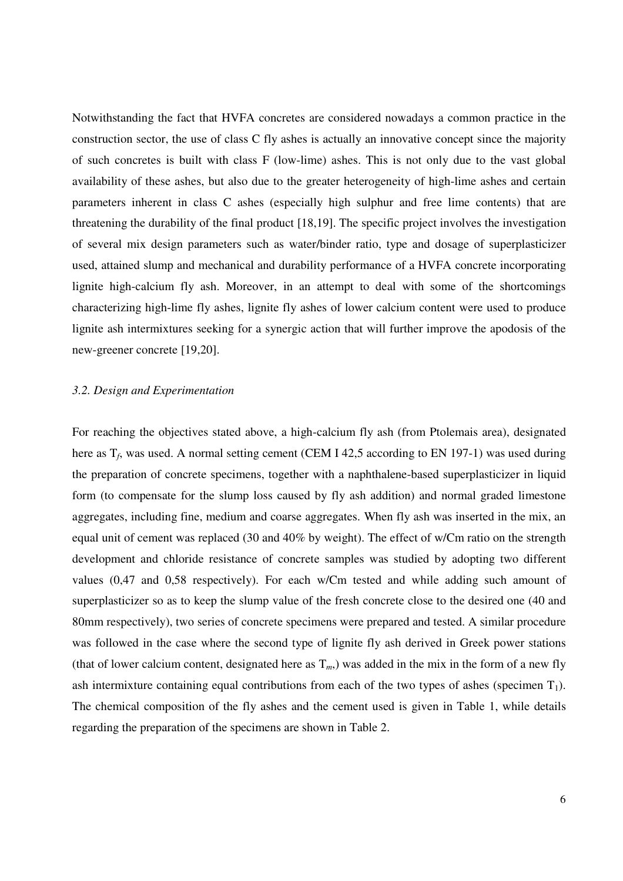Notwithstanding the fact that HVFA concretes are considered nowadays a common practice in the construction sector, the use of class C fly ashes is actually an innovative concept since the majority of such concretes is built with class F (low-lime) ashes. This is not only due to the vast global availability of these ashes, but also due to the greater heterogeneity of high-lime ashes and certain parameters inherent in class C ashes (especially high sulphur and free lime contents) that are threatening the durability of the final product [18,19]. The specific project involves the investigation of several mix design parameters such as water/binder ratio, type and dosage of superplasticizer used, attained slump and mechanical and durability performance of a HVFA concrete incorporating lignite high-calcium fly ash. Moreover, in an attempt to deal with some of the shortcomings characterizing high-lime fly ashes, lignite fly ashes of lower calcium content were used to produce lignite ash intermixtures seeking for a synergic action that will further improve the apodosis of the new-greener concrete [19,20].

#### *3.2. Design and Experimentation*

For reaching the objectives stated above, a high-calcium fly ash (from Ptolemais area), designated here as T<sub>f</sub>, was used. A normal setting cement (CEM I 42,5 according to EN 197-1) was used during the preparation of concrete specimens, together with a naphthalene-based superplasticizer in liquid form (to compensate for the slump loss caused by fly ash addition) and normal graded limestone aggregates, including fine, medium and coarse aggregates. When fly ash was inserted in the mix, an equal unit of cement was replaced (30 and 40% by weight). The effect of w/Cm ratio on the strength development and chloride resistance of concrete samples was studied by adopting two different values (0,47 and 0,58 respectively). For each w/Cm tested and while adding such amount of superplasticizer so as to keep the slump value of the fresh concrete close to the desired one (40 and 80mm respectively), two series of concrete specimens were prepared and tested. A similar procedure was followed in the case where the second type of lignite fly ash derived in Greek power stations (that of lower calcium content, designated here as  $T_m$ ) was added in the mix in the form of a new fly ash intermixture containing equal contributions from each of the two types of ashes (specimen  $T_1$ ). The chemical composition of the fly ashes and the cement used is given in Table 1, while details regarding the preparation of the specimens are shown in Table 2.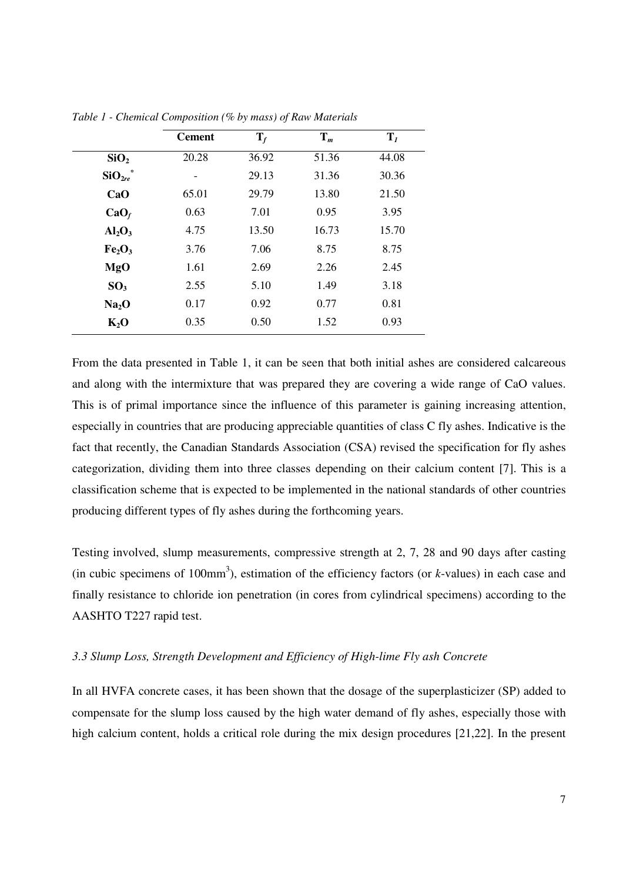|                                | <b>Cement</b> | $\mathbf{T}_f$ | $\mathbf{T}_m$ | T <sub>1</sub> |
|--------------------------------|---------------|----------------|----------------|----------------|
| SiO <sub>2</sub>               | 20.28         | 36.92          | 51.36          | 44.08          |
| $SiO_{2re}^*$                  |               | 29.13          | 31.36          | 30.36          |
| CaO                            | 65.01         | 29.79          | 13.80          | 21.50          |
| $CaO_f$                        | 0.63          | 7.01           | 0.95           | 3.95           |
| $Al_2O_3$                      | 4.75          | 13.50          | 16.73          | 15.70          |
| Fe <sub>2</sub> O <sub>3</sub> | 3.76          | 7.06           | 8.75           | 8.75           |
| MgO                            | 1.61          | 2.69           | 2.26           | 2.45           |
| SO <sub>3</sub>                | 2.55          | 5.10           | 1.49           | 3.18           |
| Na <sub>2</sub> O              | 0.17          | 0.92           | 0.77           | 0.81           |
| $K_2O$                         | 0.35          | 0.50           | 1.52           | 0.93           |

*Table 1 - Chemical Composition (% by mass) of Raw Materials*

From the data presented in Table 1, it can be seen that both initial ashes are considered calcareous and along with the intermixture that was prepared they are covering a wide range of CaO values. This is of primal importance since the influence of this parameter is gaining increasing attention, especially in countries that are producing appreciable quantities of class C fly ashes. Indicative is the fact that recently, the Canadian Standards Association (CSA) revised the specification for fly ashes categorization, dividing them into three classes depending on their calcium content [7]. This is a classification scheme that is expected to be implemented in the national standards of other countries producing different types of fly ashes during the forthcoming years.

Testing involved, slump measurements, compressive strength at 2, 7, 28 and 90 days after casting (in cubic specimens of 100mm 3 ), estimation of the efficiency factors (or *k*-values) in each case and finally resistance to chloride ion penetration (in cores from cylindrical specimens) according to the AASHTO T227 rapid test.

## *3.3 Slump Loss, Strength Development and Efficiency of High-lime Fly ash Concrete*

In all HVFA concrete cases, it has been shown that the dosage of the superplasticizer (SP) added to compensate for the slump loss caused by the high water demand of fly ashes, especially those with high calcium content, holds a critical role during the mix design procedures [21,22]. In the present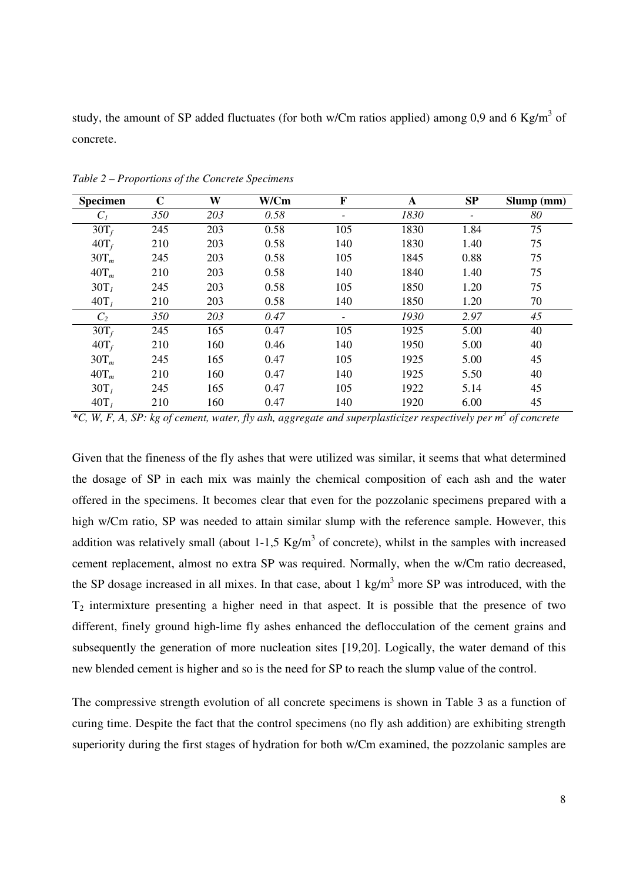study, the amount of SP added fluctuates (for both w/Cm ratios applied) among 0,9 and 6 Kg/m<sup>3</sup> of concrete.

| <b>Specimen</b>  | $\mathbf C$ | W   | W/Cm | F                        | A    | SP   | Slump (mm) |
|------------------|-------------|-----|------|--------------------------|------|------|------------|
| $C_I$            | 350         | 203 | 0.58 |                          | 1830 |      | 80         |
| $30T_f$          | 245         | 203 | 0.58 | 105                      | 1830 | 1.84 | 75         |
| $40T_f$          | 210         | 203 | 0.58 | 140                      | 1830 | 1.40 | 75         |
| $30T_m$          | 245         | 203 | 0.58 | 105                      | 1845 | 0.88 | 75         |
| $40T_m$          | 210         | 203 | 0.58 | 140                      | 1840 | 1.40 | 75         |
| 30T <sub>1</sub> | 245         | 203 | 0.58 | 105                      | 1850 | 1.20 | 75         |
| $40T_l$          | 210         | 203 | 0.58 | 140                      | 1850 | 1.20 | 70         |
| C <sub>2</sub>   | 350         | 203 | 0.47 | $\overline{\phantom{a}}$ | 1930 | 2.97 | 45         |
| $30T_f$          | 245         | 165 | 0.47 | 105                      | 1925 | 5.00 | 40         |
| $40T_f$          | 210         | 160 | 0.46 | 140                      | 1950 | 5.00 | 40         |
| $30T_m$          | 245         | 165 | 0.47 | 105                      | 1925 | 5.00 | 45         |
| $40T_m$          | 210         | 160 | 0.47 | 140                      | 1925 | 5.50 | 40         |
| 30T <sub>1</sub> | 245         | 165 | 0.47 | 105                      | 1922 | 5.14 | 45         |
| $40T_l$          | 210         | 160 | 0.47 | 140                      | 1920 | 6.00 | 45         |

*Table 2 – Proportions of the Concrete Specimens*

\*C, W, F, A, SP: kg of cement, water, fly ash, aggregate and superplasticizer respectively per  $m^3$  of concrete

Given that the fineness of the fly ashes that were utilized was similar, it seems that what determined the dosage of SP in each mix was mainly the chemical composition of each ash and the water offered in the specimens. It becomes clear that even for the pozzolanic specimens prepared with a high w/Cm ratio, SP was needed to attain similar slump with the reference sample. However, this addition was relatively small (about 1-1,5  $Kg/m<sup>3</sup>$  of concrete), whilst in the samples with increased cement replacement, almost no extra SP was required. Normally, when the w/Cm ratio decreased, the SP dosage increased in all mixes. In that case, about 1 kg/m<sup>3</sup> more SP was introduced, with the  $T_2$  intermixture presenting a higher need in that aspect. It is possible that the presence of two different, finely ground high-lime fly ashes enhanced the deflocculation of the cement grains and subsequently the generation of more nucleation sites [19,20]. Logically, the water demand of this new blended cement is higher and so is the need for SP to reach the slump value of the control.

The compressive strength evolution of all concrete specimens is shown in Table 3 as a function of curing time. Despite the fact that the control specimens (no fly ash addition) are exhibiting strength superiority during the first stages of hydration for both w/Cm examined, the pozzolanic samples are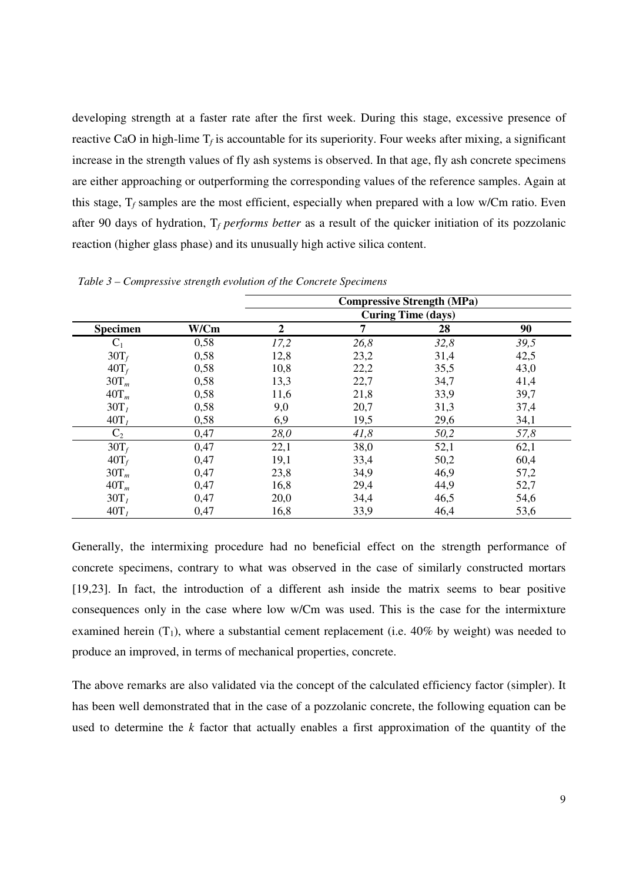developing strength at a faster rate after the first week. During this stage, excessive presence of reactive CaO in high-lime  $T_f$  is accountable for its superiority. Four weeks after mixing, a significant increase in the strength values of fly ash systems is observed. In that age, fly ash concrete specimens are either approaching or outperforming the corresponding values of the reference samples. Again at this stage,  $T_f$  samples are the most efficient, especially when prepared with a low w/Cm ratio. Even after 90 days of hydration, T*<sup>f</sup> performs better* as a result of the quicker initiation of its pozzolanic reaction (higher glass phase) and its unusually high active silica content.

|                  |      | <b>Compressive Strength (MPa)</b> |      |      |      |
|------------------|------|-----------------------------------|------|------|------|
|                  |      | <b>Curing Time (days)</b>         |      |      |      |
| <b>Specimen</b>  | W/Cm | $\overline{2}$                    | 7    | 28   | 90   |
| $C_1$            | 0,58 | 17,2                              | 26,8 | 32,8 | 39,5 |
| $30T_f$          | 0,58 | 12,8                              | 23,2 | 31,4 | 42,5 |
| $40T_f$          | 0,58 | 10,8                              | 22,2 | 35,5 | 43,0 |
| $30T_m$          | 0,58 | 13,3                              | 22,7 | 34,7 | 41,4 |
| $40T_m$          | 0,58 | 11,6                              | 21,8 | 33,9 | 39,7 |
| 30T <sub>1</sub> | 0,58 | 9,0                               | 20,7 | 31,3 | 37,4 |
| $40T_l$          | 0,58 | 6,9                               | 19,5 | 29,6 | 34,1 |
| $C_2$            | 0,47 | 28,0                              | 41,8 | 50,2 | 57,8 |
| $30T_f$          | 0,47 | 22,1                              | 38,0 | 52,1 | 62,1 |
| $40T_f$          | 0,47 | 19,1                              | 33,4 | 50,2 | 60,4 |
| $30T_m$          | 0,47 | 23,8                              | 34,9 | 46,9 | 57,2 |
| $40T_m$          | 0,47 | 16,8                              | 29,4 | 44,9 | 52,7 |
| 30T <sub>1</sub> | 0,47 | 20,0                              | 34,4 | 46,5 | 54,6 |
| $40T_l$          | 0,47 | 16,8                              | 33,9 | 46,4 | 53,6 |

*Table 3 – Compressive strength evolution of the Concrete Specimens*

Generally, the intermixing procedure had no beneficial effect on the strength performance of concrete specimens, contrary to what was observed in the case of similarly constructed mortars [19,23]. In fact, the introduction of a different ash inside the matrix seems to bear positive consequences only in the case where low w/Cm was used. This is the case for the intermixture examined herein  $(T_1)$ , where a substantial cement replacement (i.e. 40% by weight) was needed to produce an improved, in terms of mechanical properties, concrete.

The above remarks are also validated via the concept of the calculated efficiency factor (simpler). It has been well demonstrated that in the case of a pozzolanic concrete, the following equation can be used to determine the *k* factor that actually enables a first approximation of the quantity of the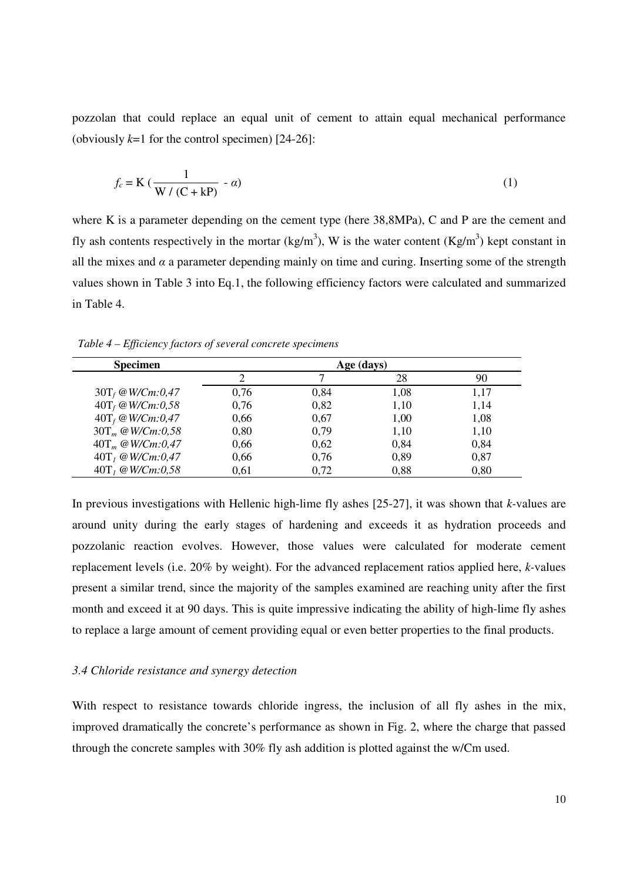pozzolan that could replace an equal unit of cement to attain equal mechanical performance (obviously  $k=1$  for the control specimen) [24-26]:

$$
f_c = \mathbf{K} \left( \frac{1}{\mathbf{W} / (\mathbf{C} + \mathbf{k} \mathbf{P})} - \alpha \right)
$$
 (1)

where K is a parameter depending on the cement type (here  $38,8MPa$ ), C and P are the cement and fly ash contents respectively in the mortar (kg/m<sup>3</sup>), W is the water content (Kg/m<sup>3</sup>) kept constant in all the mixes and  $\alpha$  a parameter depending mainly on time and curing. Inserting some of the strength values shown in Table 3 into Eq.1, the following efficiency factors were calculated and summarized in Table 4.

| <b>Specimen</b>       | Age (days) |      |      |      |
|-----------------------|------------|------|------|------|
|                       |            |      | 28   | 90   |
| $30T_f @ W/Cm: 0,47$  | 0,76       | 0,84 | 1,08 | 1,17 |
| $40T_f @ W/Cm: 0, 58$ | 0,76       | 0,82 | 1,10 | 1,14 |
| $40T_f @ W/Cm: 0,47$  | 0,66       | 0,67 | 1,00 | 1,08 |
| $30T_m @ W/Cm: 0, 58$ | 0,80       | 0,79 | 1,10 | 1,10 |
| $40T_m @ W/Cm: 0,47$  | 0,66       | 0,62 | 0,84 | 0,84 |
| $40T_1 @ W/Cm: 0,47$  | 0,66       | 0,76 | 0,89 | 0,87 |
| $40T_1 @ W/Cm: 0,58$  | 0,61       | 0,72 | 0,88 | 0,80 |

*Table 4 – Efficiency factors of several concrete specimens*

In previous investigations with Hellenic high-lime fly ashes [25-27], it was shown that *k-*values are around unity during the early stages of hardening and exceeds it as hydration proceeds and pozzolanic reaction evolves. However, those values were calculated for moderate cement replacement levels (i.e. 20% by weight). For the advanced replacement ratios applied here, *k-*values present a similar trend, since the majority of the samples examined are reaching unity after the first month and exceed it at 90 days. This is quite impressive indicating the ability of high-lime fly ashes to replace a large amount of cement providing equal or even better properties to the final products.

## *3.4 Chloride resistance and synergy detection*

With respect to resistance towards chloride ingress, the inclusion of all fly ashes in the mix, improved dramatically the concrete's performance as shown in Fig. 2, where the charge that passed through the concrete samples with 30% fly ash addition is plotted against the w/Cm used.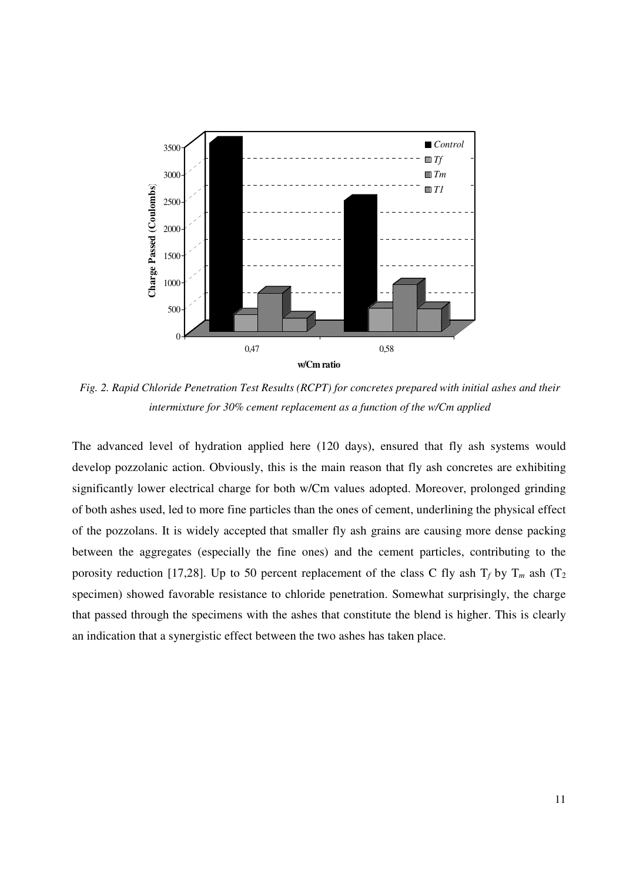

*Fig. 2. Rapid Chloride Penetration Test Results (RCPT) for concretes prepared with initial ashes and their intermixture for 30% cement replacement as a function of the w/Cm applied*

The advanced level of hydration applied here (120 days), ensured that fly ash systems would develop pozzolanic action. Obviously, this is the main reason that fly ash concretes are exhibiting significantly lower electrical charge for both w/Cm values adopted. Moreover, prolonged grinding of both ashes used, led to more fine particles than the ones of cement, underlining the physical effect of the pozzolans. It is widely accepted that smaller fly ash grains are causing more dense packing between the aggregates (especially the fine ones) and the cement particles, contributing to the porosity reduction [17,28]. Up to 50 percent replacement of the class C fly ash  $T_f$  by  $T_m$  ash ( $T_2$ ) specimen) showed favorable resistance to chloride penetration. Somewhat surprisingly, the charge that passed through the specimens with the ashes that constitute the blend is higher. This is clearly an indication that a synergistic effect between the two ashes has taken place.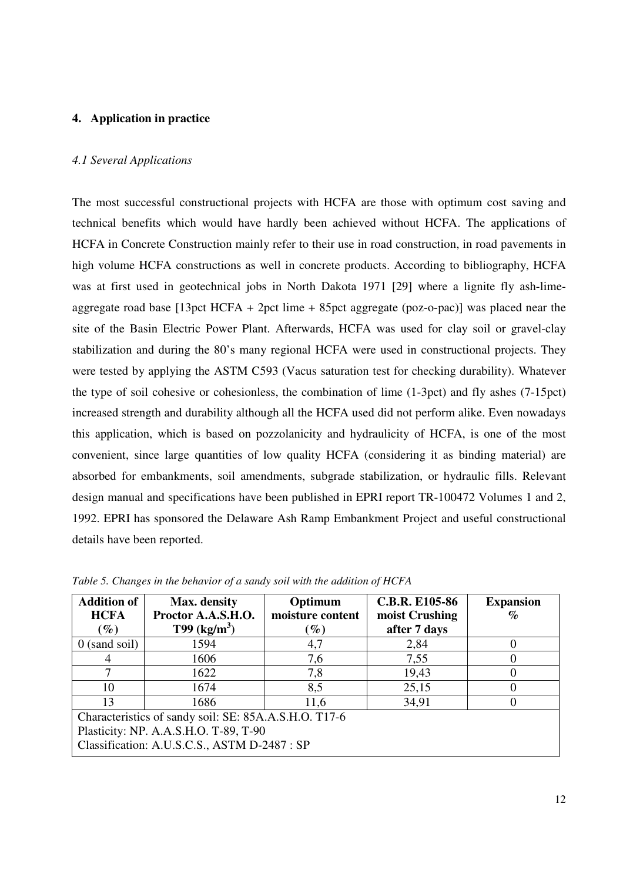## **4. Application in practice**

#### *4.1 Several Applications*

The most successful constructional projects with HCFA are those with optimum cost saving and technical benefits which would have hardly been achieved without HCFA. The applications of HCFA in Concrete Construction mainly refer to their use in road construction, in road pavements in high volume HCFA constructions as well in concrete products. According to bibliography, HCFA was at first used in geotechnical jobs in North Dakota 1971 [29] where a lignite fly ash-limeaggregate road base  $[13$ pct HCFA + 2pct lime + 85pct aggregate (poz-o-pac)] was placed near the site of the Basin Electric Power Plant. Afterwards, HCFA was used for clay soil or gravel-clay stabilization and during the 80's many regional HCFA were used in constructional projects. They were tested by applying the ASTM C593 (Vacus saturation test for checking durability). Whatever the type of soil cohesive or cohesionless, the combination of lime (1-3pct) and fly ashes (7-15pct) increased strength and durability although all the HCFA used did not perform alike. Even nowadays this application, which is based on pozzolanicity and hydraulicity of HCFA, is one of the most convenient, since large quantities of low quality HCFA (considering it as binding material) are absorbed for embankments, soil amendments, subgrade stabilization, or hydraulic fills. Relevant design manual and specifications have been published in EPRI report TR-100472 Volumes 1 and 2, 1992. EPRI has sponsored the Delaware Ash Ramp Embankment Project and useful constructional details have been reported.

| <b>Addition of</b>                                    | Max. density               | Optimum                           | <b>C.B.R. E105-86</b> | <b>Expansion</b> |  |
|-------------------------------------------------------|----------------------------|-----------------------------------|-----------------------|------------------|--|
| <b>HCFA</b>                                           | Proctor A.A.S.H.O.         | moisture content                  | moist Crushing        | $\%$             |  |
| $(\%)$                                                | $T99$ (kg/m <sup>3</sup> ) | $\mathscr{G}_{\boldsymbol{\ell}}$ | after 7 days          |                  |  |
| $0$ (sand soil)                                       | 1594                       | 4,7                               | 2,84                  |                  |  |
|                                                       | 1606                       | 7,6                               | 7,55                  |                  |  |
|                                                       | 1622                       | 7,8                               | 19,43                 |                  |  |
| 10                                                    | 1674                       | 8,5                               | 25,15                 | 0                |  |
| 13                                                    | 1686                       | 11,6                              | 34,91                 |                  |  |
| Characteristics of sandy soil: SE: 85A.A.S.H.O. T17-6 |                            |                                   |                       |                  |  |
| Plasticity: NP. A.A.S.H.O. T-89, T-90                 |                            |                                   |                       |                  |  |
| Classification: A.U.S.C.S., ASTM D-2487 : SP          |                            |                                   |                       |                  |  |

*Table 5. Changes in the behavior of a sandy soil with the addition of HCFA*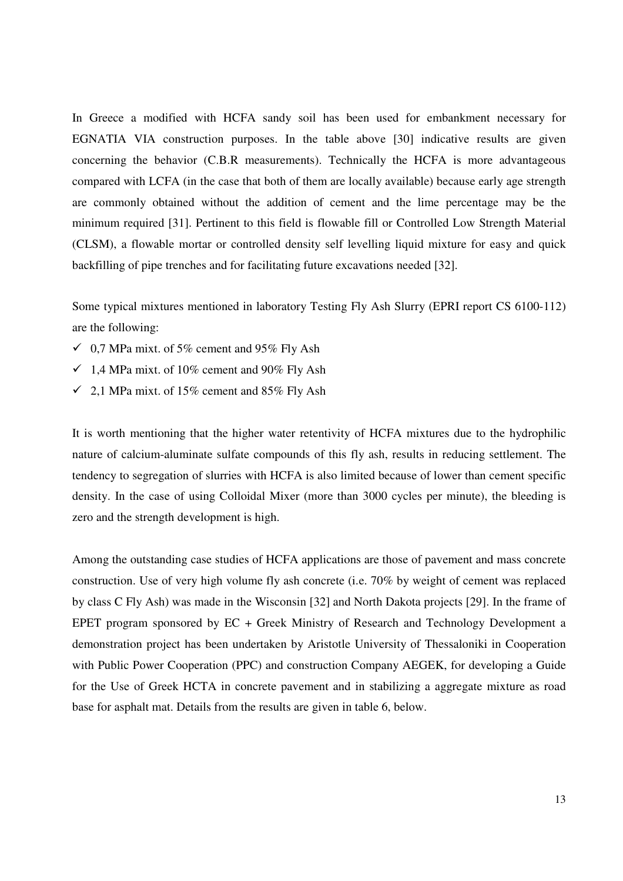In Greece a modified with HCFA sandy soil has been used for embankment necessary for EGNATIA VIA construction purposes. In the table above [30] indicative results are given concerning the behavior (C.B.R measurements). Technically the HCFA is more advantageous compared with LCFA (in the case that both of them are locally available) because early age strength are commonly obtained without the addition of cement and the lime percentage may be the minimum required [31]. Pertinent to this field is flowable fill or Controlled Low Strength Material (CLSM), a flowable mortar or controlled density self levelling liquid mixture for easy and quick backfilling of pipe trenches and for facilitating future excavations needed [32].

Some typical mixtures mentioned in laboratory Testing Fly Ash Slurry (EPRI report CS 6100-112) are the following:

- $\checkmark$  0,7 MPa mixt. of 5% cement and 95% Fly Ash
- $\checkmark$  1,4 MPa mixt. of 10% cement and 90% Fly Ash
- $\checkmark$  2,1 MPa mixt. of 15% cement and 85% Fly Ash

It is worth mentioning that the higher water retentivity of HCFA mixtures due to the hydrophilic nature of calcium-aluminate sulfate compounds of this fly ash, results in reducing settlement. The tendency to segregation of slurries with HCFA is also limited because of lower than cement specific density. In the case of using Colloidal Mixer (more than 3000 cycles per minute), the bleeding is zero and the strength development is high.

Among the outstanding case studies of HCFA applications are those of pavement and mass concrete construction. Use of very high volume fly ash concrete (i.e. 70% by weight of cement was replaced by class C Fly Ash) was made in the Wisconsin [32] and North Dakota projects [29]. In the frame of EPET program sponsored by EC + Greek Ministry of Research and Technology Development a demonstration project has been undertaken by Aristotle University of Thessaloniki in Cooperation with Public Power Cooperation (PPC) and construction Company AEGEK, for developing a Guide for the Use of Greek HCTA in concrete pavement and in stabilizing a aggregate mixture as road base for asphalt mat. Details from the results are given in table 6, below.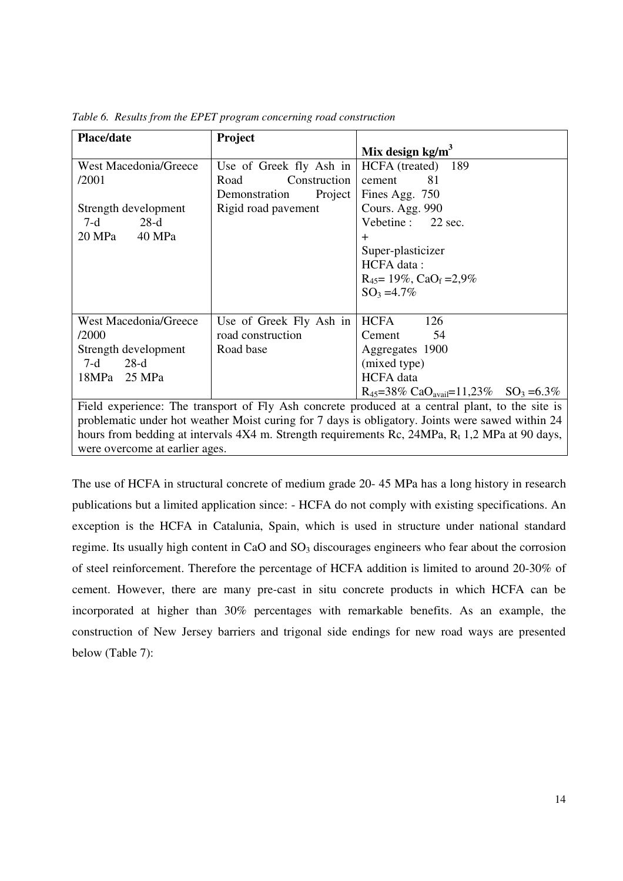| <b>Place/date</b>                                                                                            | <b>Project</b>           |                                                                           |  |  |
|--------------------------------------------------------------------------------------------------------------|--------------------------|---------------------------------------------------------------------------|--|--|
|                                                                                                              |                          | Mix design $kg/m3$                                                        |  |  |
| <b>West Macedonia/Greece</b>                                                                                 | Use of Greek fly Ash in  | HCFA (treated) 189                                                        |  |  |
| /2001                                                                                                        | Construction<br>Road     | 81<br>cement                                                              |  |  |
|                                                                                                              | Project<br>Demonstration | Fines Agg. 750                                                            |  |  |
| Strength development                                                                                         | Rigid road pavement      | Cours. Agg. 990                                                           |  |  |
| 7-d<br>$28-d$                                                                                                |                          | Vebetine : 22 sec.                                                        |  |  |
| 20 MPa<br>40 MPa                                                                                             |                          | $\pm$                                                                     |  |  |
|                                                                                                              |                          | Super-plasticizer                                                         |  |  |
|                                                                                                              |                          | HCFA data:                                                                |  |  |
|                                                                                                              |                          | $R_{45}$ = 19%, CaO <sub>f</sub> = 2,9%                                   |  |  |
|                                                                                                              |                          | $SO_3 = 4.7\%$                                                            |  |  |
|                                                                                                              |                          |                                                                           |  |  |
| <b>West Macedonia/Greece</b>                                                                                 | Use of Greek Fly Ash in  | <b>HCFA</b><br>126                                                        |  |  |
| /2000                                                                                                        | road construction        | Cement<br>54                                                              |  |  |
| Strength development                                                                                         | Road base                | Aggregates 1900                                                           |  |  |
| $28-d$<br>7-d                                                                                                |                          | (mixed type)                                                              |  |  |
| 18MPa<br>25 MPa                                                                                              |                          | <b>HCFA</b> data                                                          |  |  |
|                                                                                                              |                          | $R_{45} = 38\% \text{ CaO}_{\text{avail}} = 11,23\% \text{ SO}_3 = 6.3\%$ |  |  |
| Field experience: The transport of Fly Ash concrete produced at a central plant, to the site is              |                          |                                                                           |  |  |
| problematic under hot weather Moist curing for 7 days is obligatory. Joints were sawed within 24             |                          |                                                                           |  |  |
| hours from hadding at intervals $AVA$ m. Ctrangth requirements $D_2$ , $2AMD_2$ , $D_1$ , $2MD_2$ at 00 days |                          |                                                                           |  |  |

*Table 6. Results from the EPET program concerning road construction*

hours from bedding at intervals  $4X4$  m. Strength requirements Rc,  $24MPa$ , R<sub>t</sub> 1,2 MPa at 90 days, were overcome at earlier ages.

The use of HCFA in structural concrete of medium grade 20- 45 MPa has a long history in research publications but a limited application since: - HCFA do not comply with existing specifications. An exception is the HCFA in Catalunia, Spain, which is used in structure under national standard regime. Its usually high content in CaO and  $SO<sub>3</sub>$  discourages engineers who fear about the corrosion of steel reinforcement. Therefore the percentage of HCFA addition is limited to around 20-30% of cement. However, there are many pre-cast in situ concrete products in which HCFA can be incorporated at higher than 30% percentages with remarkable benefits. As an example, the construction of New Jersey barriers and trigonal side endings for new road ways are presented below (Table 7):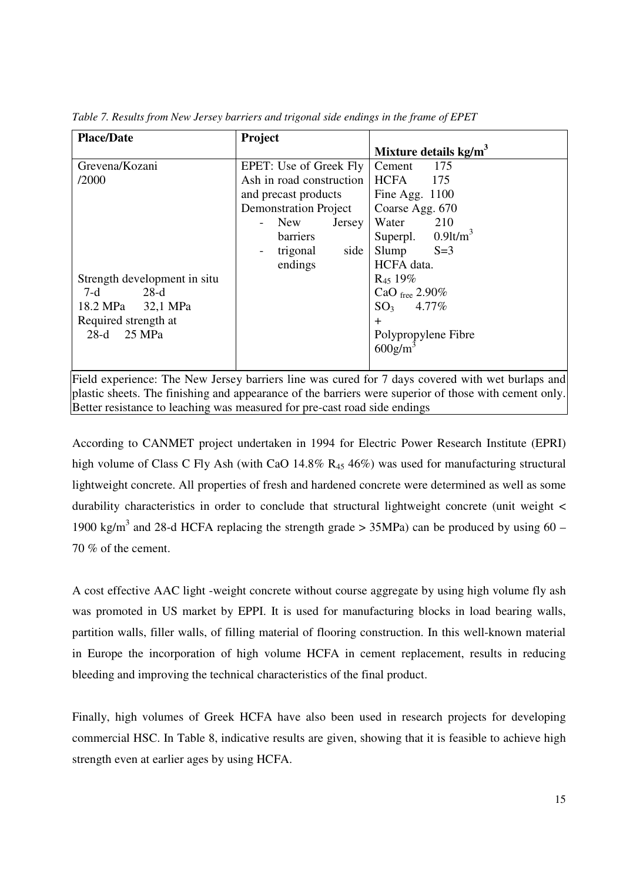| <b>Place/Date</b>            | Project                      |                                   |
|------------------------------|------------------------------|-----------------------------------|
|                              |                              | Mixture details kg/m <sup>3</sup> |
| Grevena/Kozani               | EPET: Use of Greek Fly       | 175<br>Cement                     |
| /2000                        | Ash in road construction     | <b>HCFA</b><br>- 175              |
|                              | and precast products         | Fine Agg. 1100                    |
|                              | <b>Demonstration Project</b> | Coarse Agg. 670                   |
|                              | New<br>Jersey                | Water 210                         |
|                              | <b>barriers</b>              | Superpl. $0.9$ lt/m <sup>3</sup>  |
|                              | side<br>trigonal             | Slump<br>$S=3$                    |
|                              | endings                      | HCFA data.                        |
| Strength development in situ |                              | $R_{45}$ 19%                      |
| $7-d$<br>28-d                |                              | CaO free $2.90\%$                 |
| 18.2 MPa 32,1 MPa            |                              | $SO_3$ 4.77%                      |
| Required strength at         |                              | $+$                               |
| 28-d 25 MPa                  |                              | Polypropylene Fibre               |
|                              |                              | $600$ g/m                         |
|                              |                              |                                   |

*Table 7. Results from New Jersey barriers and trigonal side endings in the frame of EPET*

Field experience: The New Jersey barriers line was cured for 7 days covered with wet burlaps and plastic sheets. The finishing and appearance of the barriers were superior of those with cement only. Better resistance to leaching was measured for pre-cast road side endings

According to CANMET project undertaken in 1994 for Electric Power Research Institute (EPRI) high volume of Class C Fly Ash (with CaO 14.8%  $R_{45}$  46%) was used for manufacturing structural lightweight concrete. All properties of fresh and hardened concrete were determined as well as some durability characteristics in order to conclude that structural lightweight concrete (unit weight < 1900 kg/m<sup>3</sup> and 28-d HCFA replacing the strength grade > 35MPa) can be produced by using 60 – 70 % of the cement.

A cost effective AAC light -weight concrete without course aggregate by using high volume fly ash was promoted in US market by EPPI. It is used for manufacturing blocks in load bearing walls, partition walls, filler walls, of filling material of flooring construction. In this well-known material in Europe the incorporation of high volume HCFA in cement replacement, results in reducing bleeding and improving the technical characteristics of the final product.

Finally, high volumes of Greek HCFA have also been used in research projects for developing commercial HSC. In Table 8, indicative results are given, showing that it is feasible to achieve high strength even at earlier ages by using HCFA.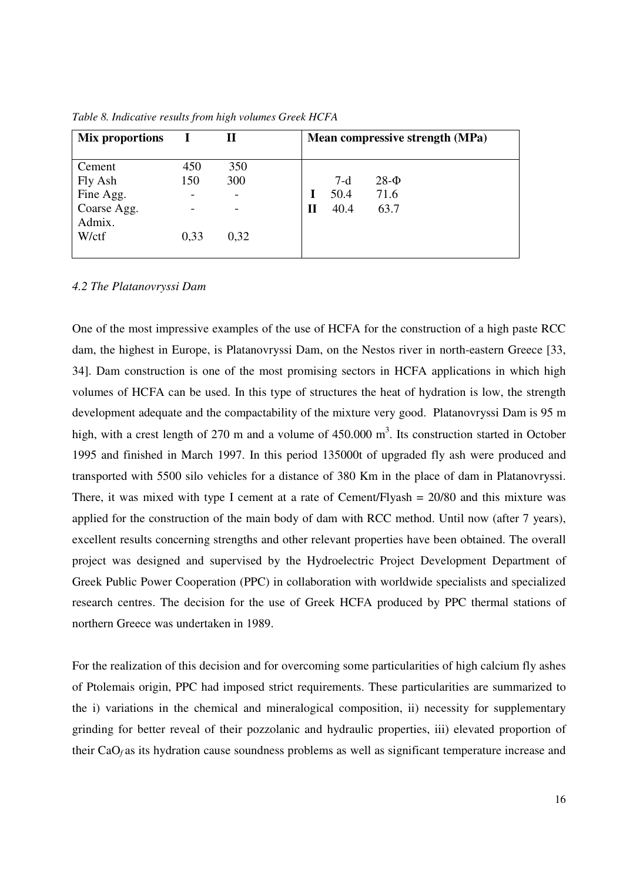| Mix proportions       |                          | П          | Mean compressive strength (MPa) |
|-----------------------|--------------------------|------------|---------------------------------|
| Cement<br>Fly Ash     | 450<br>150               | 350<br>300 | $28-Φ$<br>$7-d$                 |
| Fine Agg.             | $\overline{\phantom{a}}$ |            | 50.4<br>71.6                    |
| Coarse Agg.<br>Admix. |                          |            | 40.4<br>63.7<br>П               |
| W/ctf                 | 0,33                     | 0,32       |                                 |

*Table 8. Indicative results from high volumes Greek HCFA*

*4.2 The Platanovryssi Dam*

One of the most impressive examples of the use of HCFA for the construction of a high paste RCC dam, the highest in Europe, is Platanovryssi Dam, on the Nestos river in north-eastern Greece [33, 34]. Dam construction is one of the most promising sectors in HCFA applications in which high volumes of HCFA can be used. In this type of structures the heat of hydration is low, the strength development adequate and the compactability of the mixture very good. Platanovryssi Dam is 95 m high, with a crest length of 270 m and a volume of 450.000 m<sup>3</sup>. Its construction started in October 1995 and finished in March 1997. In this period 135000t of upgraded fly ash were produced and transported with 5500 silo vehicles for a distance of 380 Km in the place of dam in Platanovryssi. There, it was mixed with type I cement at a rate of Cement/Flyash  $= 20/80$  and this mixture was applied for the construction of the main body of dam with RCC method. Until now (after 7 years), excellent results concerning strengths and other relevant properties have been obtained. The overall project was designed and supervised by the Hydroelectric Project Development Department of Greek Public Power Cooperation (PPC) in collaboration with worldwide specialists and specialized research centres. The decision for the use of Greek HCFA produced by PPC thermal stations of northern Greece was undertaken in 1989.

For the realization of this decision and for overcoming some particularities of high calcium fly ashes of Ptolemais origin, PPC had imposed strict requirements. These particularities are summarized to the i) variations in the chemical and mineralogical composition, ii) necessity for supplementary grinding for better reveal of their pozzolanic and hydraulic properties, iii) elevated proportion of their CaO*<sup>f</sup>* as its hydration cause soundness problems as well as significant temperature increase and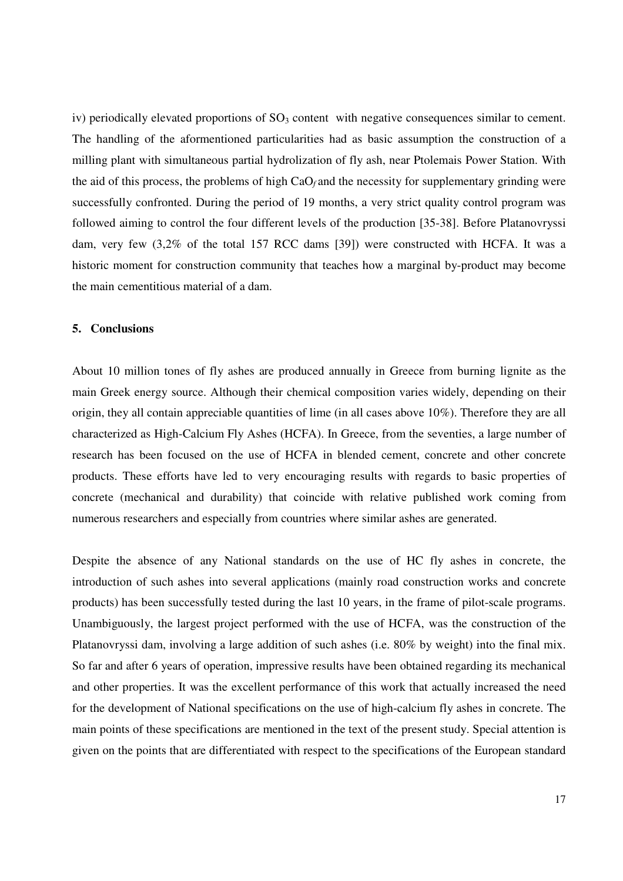iv) periodically elevated proportions of  $SO<sub>3</sub>$  content with negative consequences similar to cement. The handling of the aformentioned particularities had as basic assumption the construction of a milling plant with simultaneous partial hydrolization of fly ash, near Ptolemais Power Station. With the aid of this process, the problems of high CaO*<sup>f</sup>* and the necessity for supplementary grinding were successfully confronted. During the period of 19 months, a very strict quality control program was followed aiming to control the four different levels of the production [35-38]. Before Platanovryssi dam, very few (3,2% of the total 157 RCC dams [39]) were constructed with HCFA. It was a historic moment for construction community that teaches how a marginal by-product may become the main cementitious material of a dam.

## **5. Conclusions**

About 10 million tones of fly ashes are produced annually in Greece from burning lignite as the main Greek energy source. Although their chemical composition varies widely, depending on their origin, they all contain appreciable quantities of lime (in all cases above 10%). Therefore they are all characterized as High-Calcium Fly Ashes (HCFA). In Greece, from the seventies, a large number of research has been focused on the use of HCFA in blended cement, concrete and other concrete products. These efforts have led to very encouraging results with regards to basic properties of concrete (mechanical and durability) that coincide with relative published work coming from numerous researchers and especially from countries where similar ashes are generated.

Despite the absence of any National standards on the use of HC fly ashes in concrete, the introduction of such ashes into several applications (mainly road construction works and concrete products) has been successfully tested during the last 10 years, in the frame of pilot-scale programs. Unambiguously, the largest project performed with the use of HCFA, was the construction of the Platanovryssi dam, involving a large addition of such ashes (i.e. 80% by weight) into the final mix. So far and after 6 years of operation, impressive results have been obtained regarding its mechanical and other properties. It was the excellent performance of this work that actually increased the need for the development of National specifications on the use of high-calcium fly ashes in concrete. The main points of these specifications are mentioned in the text of the present study. Special attention is given on the points that are differentiated with respect to the specifications of the European standard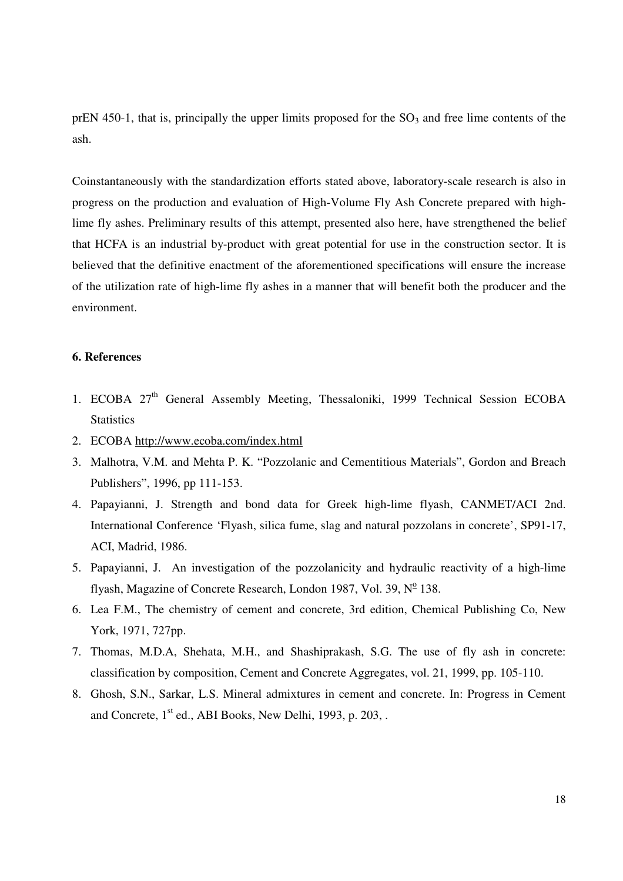prEN 450-1, that is, principally the upper limits proposed for the  $SO<sub>3</sub>$  and free lime contents of the ash.

Coinstantaneously with the standardization efforts stated above, laboratory-scale research is also in progress on the production and evaluation of High-Volume Fly Ash Concrete prepared with highlime fly ashes. Preliminary results of this attempt, presented also here, have strengthened the belief that HCFA is an industrial by-product with great potential for use in the construction sector. It is believed that the definitive enactment of the aforementioned specifications will ensure the increase of the utilization rate of high-lime fly ashes in a manner that will benefit both the producer and the environment.

## **6. References**

- 1. ECOBA 27<sup>th</sup> General Assembly Meeting, Thessaloniki, 1999 Technical Session ECOBA **Statistics**
- 2. ECOBA http://www.ecoba.com/index.html
- 3. Malhotra, V.M. and Mehta P. K. "Pozzolanic and Cementitious Materials", Gordon and Breach Publishers", 1996, pp 111-153.
- 4. Papayianni, J. Strength and bond data for Greek high-lime flyash, CANMET/ACI 2nd. International Conference 'Flyash, silica fume, slag and natural pozzolans in concrete', SP91-17, ACI, Madrid, 1986.
- 5. Papayianni, J. An investigation of the pozzolanicity and hydraulic reactivity of a high-lime flyash, Magazine of Concrete Research, London 1987, Vol. 39, Nº 138.
- 6. Lea F.M., The chemistry of cement and concrete, 3rd edition, Chemical Publishing Co, New York, 1971, 727pp.
- 7. Thomas, M.D.A, Shehata, M.H., and Shashiprakash, S.G. The use of fly ash in concrete: classification by composition, Cement and Concrete Aggregates, vol. 21, 1999, pp. 105-110.
- 8. Ghosh, S.N., Sarkar, L.S. Mineral admixtures in cement and concrete. In: Progress in Cement and Concrete, 1<sup>st</sup> ed., ABI Books, New Delhi, 1993, p. 203, .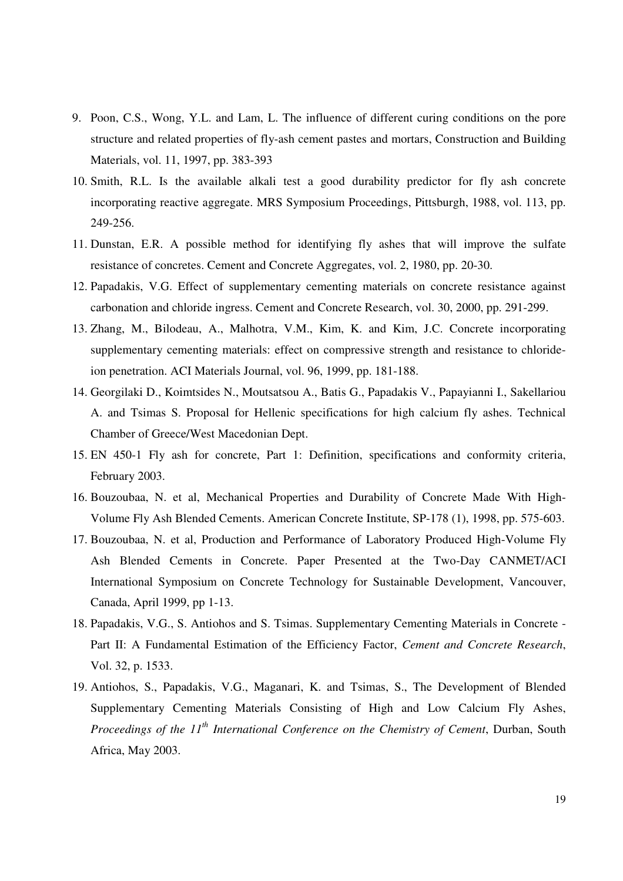- 9. Poon, C.S., Wong, Y.L. and Lam, L. The influence of different curing conditions on the pore structure and related properties of fly-ash cement pastes and mortars, Construction and Building Materials, vol. 11, 1997, pp. 383-393
- 10. Smith, R.L. Is the available alkali test a good durability predictor for fly ash concrete incorporating reactive aggregate. MRS Symposium Proceedings, Pittsburgh, 1988, vol. 113, pp. 249-256.
- 11. Dunstan, E.R. A possible method for identifying fly ashes that will improve the sulfate resistance of concretes. Cement and Concrete Aggregates, vol. 2, 1980, pp. 20-30.
- 12. Papadakis, V.G. Effect of supplementary cementing materials on concrete resistance against carbonation and chloride ingress. Cement and Concrete Research, vol. 30, 2000, pp. 291-299.
- 13. Zhang, M., Bilodeau, A., Malhotra, V.M., Kim, K. and Kim, J.C. Concrete incorporating supplementary cementing materials: effect on compressive strength and resistance to chlorideion penetration. ACI Materials Journal, vol. 96, 1999, pp. 181-188.
- 14. Georgilaki D., Koimtsides N., Moutsatsou A., Batis G., Papadakis V., Papayianni I., Sakellariou A. and Tsimas S. Proposal for Hellenic specifications for high calcium fly ashes. Technical Chamber of Greece/West Macedonian Dept.
- 15. EN 450-1 Fly ash for concrete, Part 1: Definition, specifications and conformity criteria, February 2003.
- 16. Bouzoubaa, N. et al, Mechanical Properties and Durability of Concrete Made With High-Volume Fly Ash Blended Cements. American Concrete Institute, SP-178 (1), 1998, pp. 575-603.
- 17. Bouzoubaa, N. et al, Production and Performance of Laboratory Produced High-Volume Fly Ash Blended Cements in Concrete. Paper Presented at the Two-Day CANMET/ACI International Symposium on Concrete Technology for Sustainable Development, Vancouver, Canada, April 1999, pp 1-13.
- 18. Papadakis, V.G., S. Antiohos and S. Tsimas. Supplementary Cementing Materials in Concrete Part II: A Fundamental Estimation of the Efficiency Factor, *Cement and Concrete Research*, Vol. 32, p. 1533.
- 19. Antiohos, S., Papadakis, V.G., Maganari, K. and Tsimas, S., The Development of Blended Supplementary Cementing Materials Consisting of High and Low Calcium Fly Ashes, *Proceedings of the 11 th International Conference on the Chemistry of Cement*, Durban, South Africa, May 2003.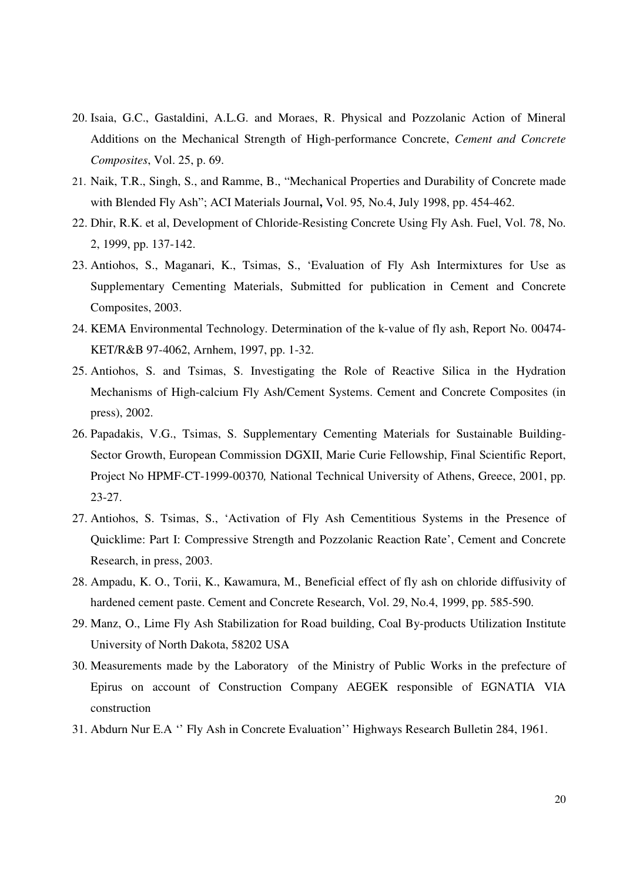- 20. Isaia, G.C., Gastaldini, A.L.G. and Moraes, R. Physical and Pozzolanic Action of Mineral Additions on the Mechanical Strength of High-performance Concrete, *Cement and Concrete Composites*, Vol. 25, p. 69.
- 21. Naik, T.R., Singh, S., and Ramme, B., "Mechanical Properties and Durability of Concrete made with Blended Fly Ash"; ACI Materials Journal**,** Vol. 95*,* No.4, July 1998, pp. 454-462.
- 22. Dhir, R.K. et al, Development of Chloride-Resisting Concrete Using Fly Ash. Fuel, Vol. 78, No. 2, 1999, pp. 137-142.
- 23. Antiohos, S., Maganari, K., Tsimas, S., 'Evaluation of Fly Ash Intermixtures for Use as Supplementary Cementing Materials, Submitted for publication in Cement and Concrete Composites, 2003.
- 24. KEMA Environmental Technology. Determination of the k-value of fly ash, Report No. 00474- KET/R&B 97-4062, Arnhem, 1997, pp. 1-32.
- 25. Antiohos, S. and Tsimas, S. Investigating the Role of Reactive Silica in the Hydration Mechanisms of High-calcium Fly Ash/Cement Systems. Cement and Concrete Composites (in press), 2002.
- 26. Papadakis, V.G., Tsimas, S. Supplementary Cementing Materials for Sustainable Building-Sector Growth, European Commission DGXII, Marie Curie Fellowship, Final Scientific Report, Project No HPMF-CT-1999-00370*,* National Technical University of Athens, Greece, 2001, pp. 23-27.
- 27. Antiohos, S. Tsimas, S., 'Activation of Fly Ash Cementitious Systems in the Presence of Quicklime: Part I: Compressive Strength and Pozzolanic Reaction Rate', Cement and Concrete Research, in press, 2003.
- 28. Ampadu, K. O., Torii, K., Kawamura, M., Beneficial effect of fly ash on chloride diffusivity of hardened cement paste. Cement and Concrete Research, Vol. 29, No.4, 1999, pp. 585-590.
- 29. Manz, O., Lime Fly Ash Stabilization for Road building, Coal By-products Utilization Institute University of North Dakota, 58202 USA
- 30. Measurements made by the Laboratory of the Ministry of Public Works in the prefecture of Epirus on account of Construction Company AEGEK responsible of EGNATIA VIA construction
- 31. Abdurn Nur E.A '' Fly Ash in Concrete Evaluation'' Highways Research Bulletin 284, 1961.